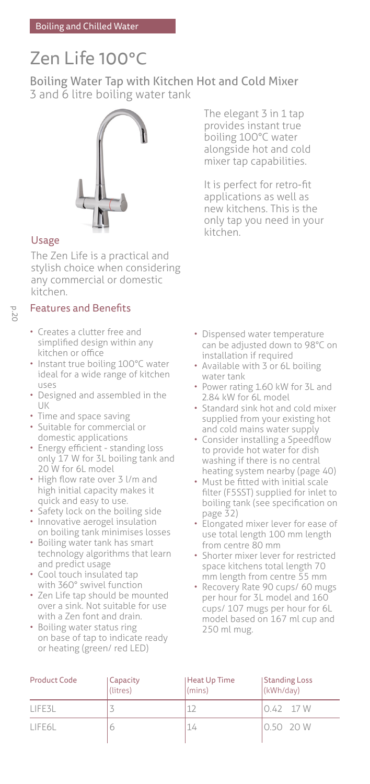# Zen Life 100°C

Boiling Water Tap with Kitchen Hot and Cold Mixer 3 and 6 litre boiling water tank



## Usage

The Zen Life is a practical and stylish choice when considering any commercial or domestic kitchen.

## p. 20

## Features and Benefits

- Creates a clutter free and simplified design within any kitchen or office
- Instant true boiling 100°C water ideal for a wide range of kitchen uses
- Designed and assembled in the UK
- Time and space saving
- Suitable for commercial or domestic applications
- Energy efficient standing loss only 17 W for 3L boiling tank and 20 W for 6L model
- High flow rate over 3 l/m and high initial capacity makes it quick and easy to use.
- Safety lock on the boiling side
- Innovative aerogel insulation on boiling tank minimises losses
- Boiling water tank has smart technology algorithms that learn and predict usage
- Cool touch insulated tap with 360° swivel function
- Zen Life tap should be mounted over a sink. Not suitable for use with a Zen font and drain.
- Boiling water status ring on base of tap to indicate ready or heating (green/ red LED)

The elegant 3 in 1 tap provides instant true boiling 100°C water alongside hot and cold mixer tap capabilities.

It is perfect for retro-fit applications as well as new kitchens. This is the only tap you need in your kitchen.

- Dispensed water temperature can be adjusted down to 98°C on installation if required
- Available with 3 or 6L boiling water tank
- Power rating 1.60 kW for 3L and 2.84 kW for 6L model
- Standard sink hot and cold mixer supplied from your existing hot and cold mains water supply
- Consider installing a Speedflow to provide hot water for dish washing if there is no central heating system nearby (page 40)
- Must be fitted with initial scale filter (F5SST) supplied for inlet to boiling tank (see specification on page 32)
- Elongated mixer lever for ease of use total length 100 mm length from centre 80 mm
- Shorter mixer lever for restricted space kitchens total length 70 mm length from centre 55 mm
- Recovery Rate 90 cups/ 60 mugs per hour for 3L model and 160 cups/ 107 mugs per hour for 6L model based on 167 ml cup and 250 ml mug.

| <b>Product Code</b> | Capacity<br>(litres) | Heat Up Time<br>(mins) | <b>Standing Loss</b><br>(kWh/day) |
|---------------------|----------------------|------------------------|-----------------------------------|
| LIFE3L              |                      |                        | $0.42$ 17 W                       |
| LIFE6L              |                      | 14                     | 0.5020W                           |